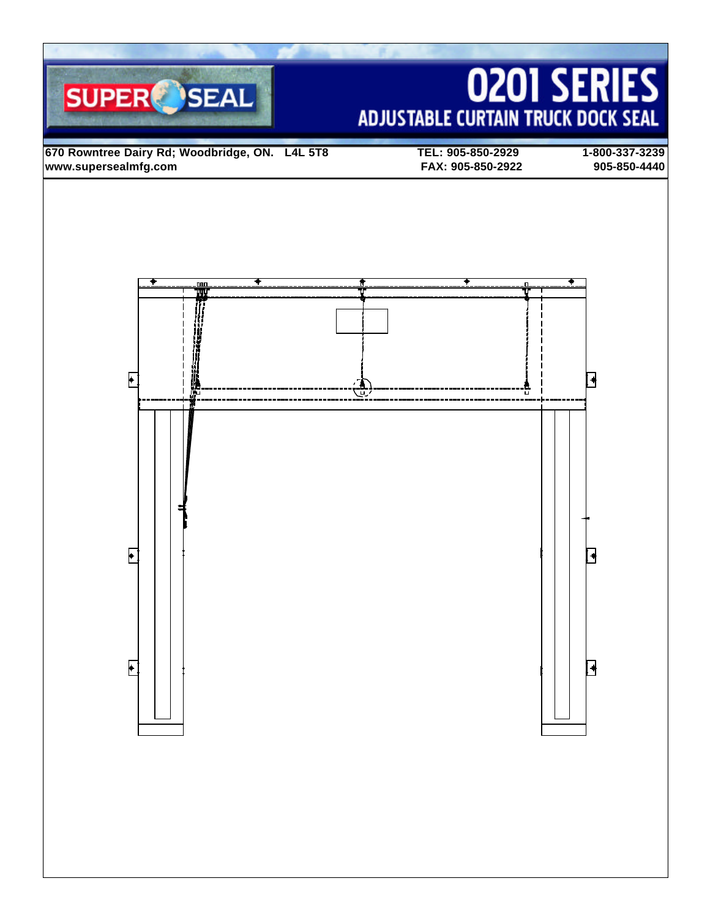# **0201 SERIES ADJUSTABLE CURTAIN TRUCK DOCK SEAL**

**670 Rowntree Dairy Rd; Woodbridge, ON. L4L 5T8 TEL: 905-850-2929 1-800-337-3239 www.supersealmfg.com FAX: 905-850-2922 905-850-4440**

**SUPER** SEAL

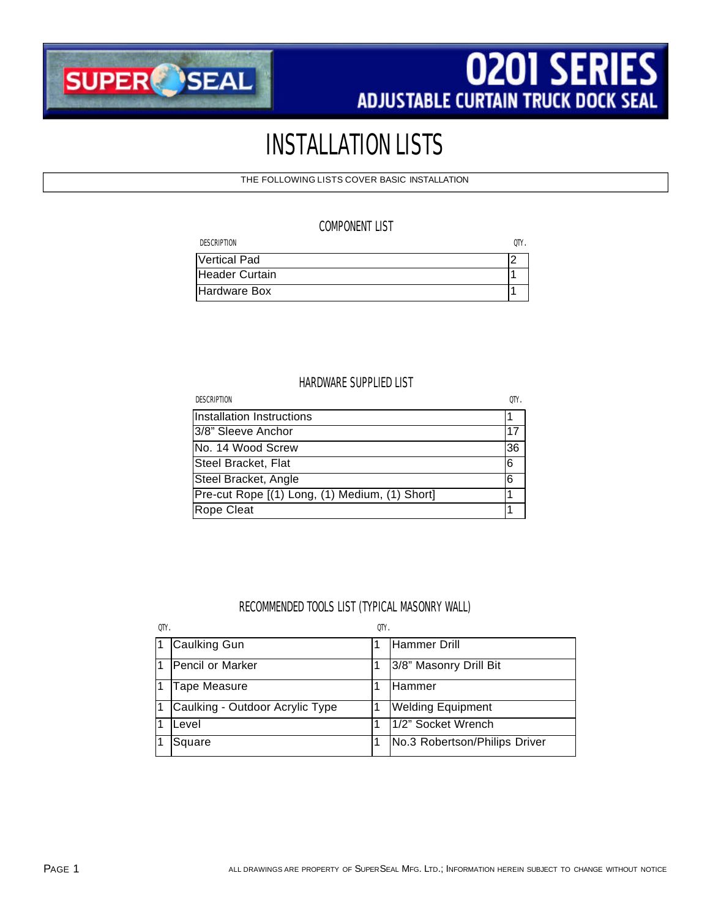

# INSTALLATION LISTS

THE FOLLOWING LISTS COVER BASIC INSTALLATION

# COMPONENT LIST

| <b>DESCRIPTION</b> | OΤY |
|--------------------|-----|
| Vertical Pad       |     |
| Header Curtain     |     |
| Hardware Box       |     |

# HARDWARE SUPPLIED LIST

| <b>DESCRIPTION</b>                             | OTY. |
|------------------------------------------------|------|
| Installation Instructions                      |      |
| 3/8" Sleeve Anchor                             | 17   |
| No. 14 Wood Screw                              | 36   |
| Steel Bracket, Flat                            | 6    |
| Steel Bracket, Angle                           | 16   |
| Pre-cut Rope [(1) Long, (1) Medium, (1) Short] |      |
| Rope Cleat                                     |      |

# RECOMMENDED TOOLS LIST (TYPICAL MASONRY WALL)

| OTY.           |                                 | 0TY |                               |
|----------------|---------------------------------|-----|-------------------------------|
| 11.            | Caulking Gun                    |     | Hammer Drill                  |
| $\vert$ 1      | Pencil or Marker                |     | 3/8" Masonry Drill Bit        |
| $\overline{1}$ | Tape Measure                    |     | Hammer                        |
| l 1            | Caulking - Outdoor Acrylic Type |     | <b>Welding Equipment</b>      |
|                | Level                           |     | 1/2" Socket Wrench            |
|                | Square                          |     | No.3 Robertson/Philips Driver |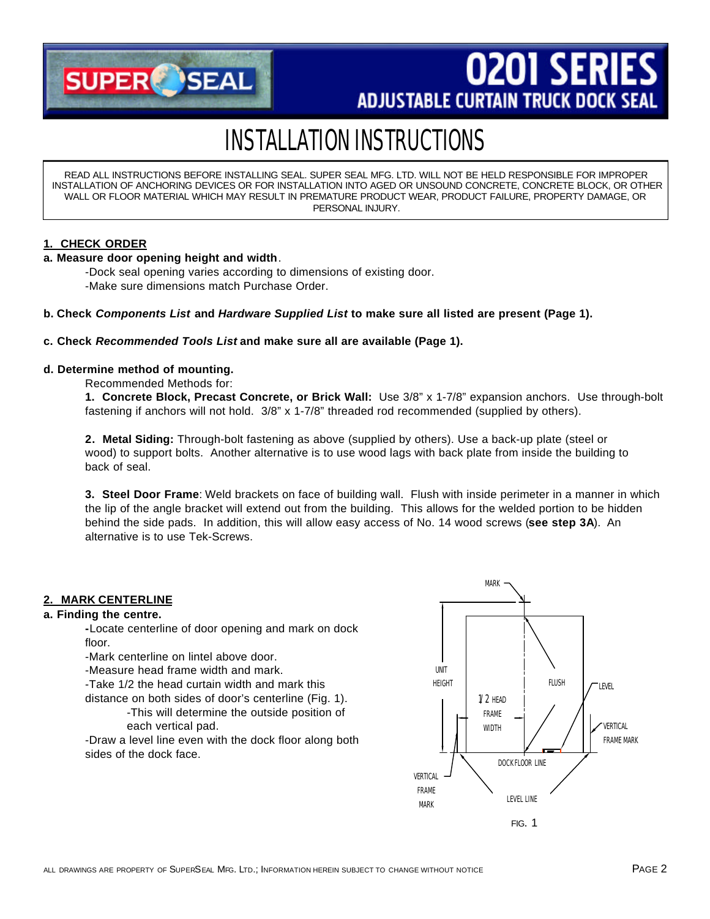

# **0201 SERIE ADJUSTABLE CURTAIN TRUCK DOCK SEAL**

# INSTALLATION INSTRUCTIONS

READ ALL INSTRUCTIONS BEFORE INSTALLING SEAL. SUPER SEAL MFG. LTD. WILL NOT BE HELD RESPONSIBLE FOR IMPROPER INSTALLATION OF ANCHORING DEVICES OR FOR INSTALLATION INTO AGED OR UNSOUND CONCRETE, CONCRETE BLOCK, OR OTHER WALL OR FLOOR MATERIAL WHICH MAY RESULT IN PREMATURE PRODUCT WEAR, PRODUCT FAILURE, PROPERTY DAMAGE, OR PERSONAL INJURY.

# **1. CHECK ORDER**

## **a. Measure door opening height and width**.

-Dock seal opening varies according to dimensions of existing door. -Make sure dimensions match Purchase Order.

**b. Check** *Components List* **and** *Hardware Supplied List* **to make sure all listed are present (Page 1).**

#### **c. Check** *Recommended Tools List* **and make sure all are available (Page 1).**

## **d. Determine method of mounting.**

Recommended Methods for:

**1. Concrete Block, Precast Concrete, or Brick Wall:** Use 3/8" x 1-7/8" expansion anchors. Use through-bolt fastening if anchors will not hold. 3/8" x 1-7/8" threaded rod recommended (supplied by others).

**2. Metal Siding:** Through-bolt fastening as above (supplied by others). Use a back-up plate (steel or wood) to support bolts. Another alternative is to use wood lags with back plate from inside the building to back of seal.

**3. Steel Door Frame**: Weld brackets on face of building wall. Flush with inside perimeter in a manner in which the lip of the angle bracket will extend out from the building. This allows for the welded portion to be hidden behind the side pads. In addition, this will allow easy access of No. 14 wood screws (**see step 3A**). An alternative is to use Tek-Screws.

# **2. MARK CENTERLINE**

#### **a. Finding the centre.**

**-**Locate centerline of door opening and mark on dock floor.

-Mark centerline on lintel above door.

-Measure head frame width and mark.

-Take 1/2 the head curtain width and mark this

distance on both sides of door's centerline (Fig. 1).

-This will determine the outside position of each vertical pad.

-Draw a level line even with the dock floor along both sides of the dock face.

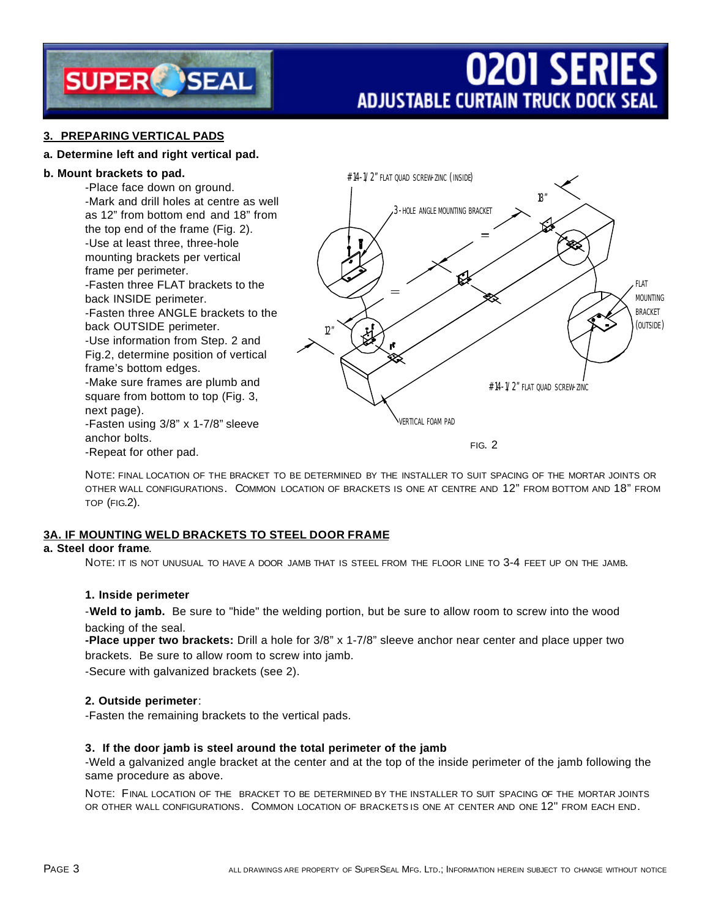

# **0201 SERIES ADJUSTABLE CURTAIN TRUCK DOCK SEAL**

# **3. PREPARING VERTICAL PADS**

## **a. Determine left and right vertical pad.**

#### **b. Mount brackets to pad.**

-Place face down on ground. -Mark and drill holes at centre as well as 12" from bottom end and 18" from the top end of the frame (Fig. 2). -Use at least three, three-hole mounting brackets per vertical frame per perimeter. -Fasten three FLAT brackets to the back INSIDE perimeter. -Fasten three ANGLE brackets to the back OUTSIDE perimeter. -Use information from Step. 2 and Fig.2, determine position of vertical frame's bottom edges. -Make sure frames are plumb and square from bottom to top (Fig. 3, next page).

-Fasten using 3/8" x 1-7/8" sleeve anchor bolts. -Repeat for other pad.

#14-1/2" FLAT QUAD SCREW-ZINC (INSIDE) 18" 3-HOLE ANGLE MOUNTING BRACKET **FLAT**  $\equiv$ MOUNTING BRACKET (OUTSIDE)12 #14-1/2" FLAT OUAD SCREW-ZINC VERTICAL FOAM PAD

FIG. 2

NOTE: FINAL LOCATION OF THE BRACKET TO BE DETERMINED BY THE INSTALLER TO SUIT SPACING OF THE MORTAR JOINTS OR OTHER WALL CONFIGURATIONS. COMMON LOCATION OF BRACKETS IS ONE AT CENTRE AND 12" FROM BOTTOM AND 18" FROM TOP (FIG.2).

## **3A. IF MOUNTING WELD BRACKETS TO STEEL DOOR FRAME**

# **a. Steel door frame**.

NOTE: IT IS NOT UNUSUAL TO HAVE A DOOR JAMB THAT IS STEEL FROM THE FLOOR LINE TO 3-4 FEET UP ON THE JAMB.

## **1. Inside perimeter**

-**Weld to jamb.** Be sure to "hide" the welding portion, but be sure to allow room to screw into the wood backing of the seal.

**-Place upper two brackets:** Drill a hole for 3/8" x 1-7/8" sleeve anchor near center and place upper two brackets. Be sure to allow room to screw into jamb.

-Secure with galvanized brackets (see 2).

## **2. Outside perimeter**:

-Fasten the remaining brackets to the vertical pads.

#### **3. If the door jamb is steel around the total perimeter of the jamb**

-Weld a galvanized angle bracket at the center and at the top of the inside perimeter of the jamb following the same procedure as above.

NOTE: FINAL LOCATION OF THE BRACKET TO BE DETERMINED BY THE INSTALLER TO SUIT SPACING OF THE MORTAR JOINTS OR OTHER WALL CONFIGURATIONS. COMMON LOCATION OF BRACKETS IS ONE AT CENTER AND ONE 12" FROM EACH END.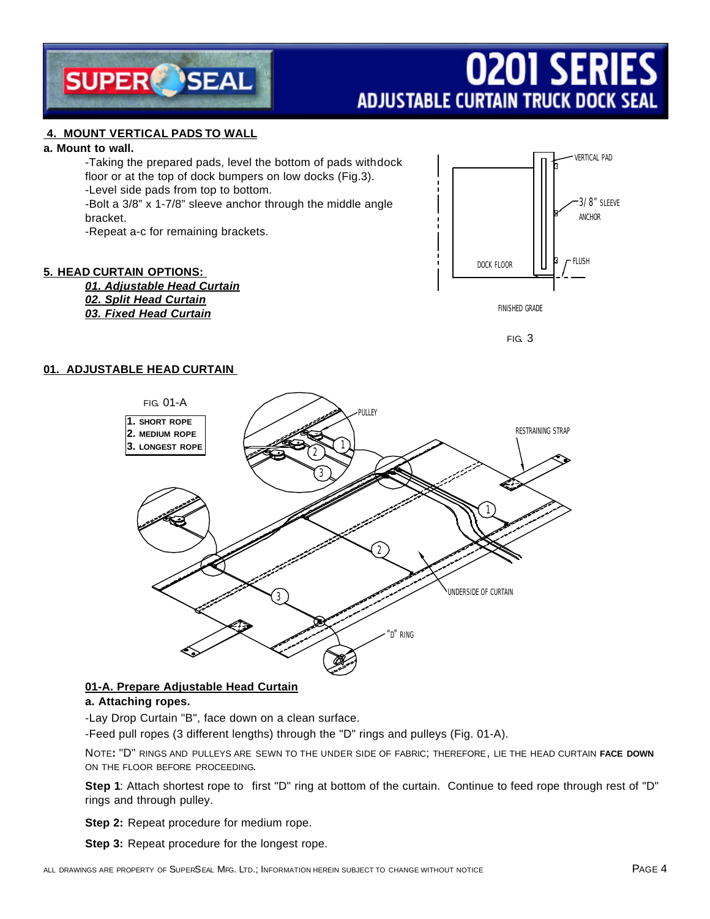

# **0201 SERIES ADJUSTABLE CURTAIN TRUCK DOCK SEAL**

# **4. MOUNT VERTICAL PADS TO WALL**

#### **a. Mount to wall.**

-Taking the prepared pads, level the bottom of pads withdock floor or at the top of dock bumpers on low docks (Fig.3). -Level side pads from top to bottom. -Bolt a 3/8" x 1-7/8" sleeve anchor through the middle angle bracket.

-Repeat a-c for remaining brackets.

# **5. HEAD CURTAIN OPTIONS:**

*01. Adjustable Head Curtain 02. Split Head Curtain 03. Fixed Head Curtain*





# **01. ADJUSTABLE HEAD CURTAIN**



# **01-A. Prepare Adjustable Head Curtain**

## **a. Attaching ropes.**

-Lay Drop Curtain "B", face down on a clean surface.

-Feed pull ropes (3 different lengths) through the "D" rings and pulleys (Fig. 01-A).

NOTE**:** "D" RINGS AND PULLEYS ARE SEWN TO THE UNDER SIDE OF FABRIC; THEREFORE, LIE THE HEAD CURTAIN **FACE DOWN** ON THE FLOOR BEFORE PROCEEDING.

**Step 1**: Attach shortest rope to first "D" ring at bottom of the curtain. Continue to feed rope through rest of "D" rings and through pulley.

**Step 2:** Repeat procedure for medium rope.

**Step 3:** Repeat procedure for the longest rope.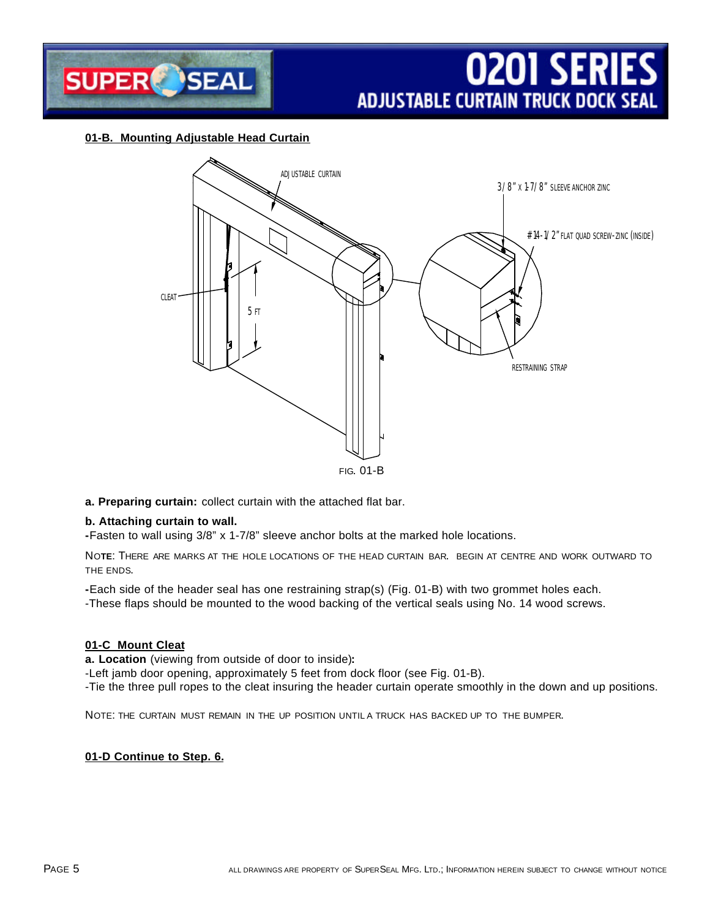

# **01-B. Mounting Adjustable Head Curtain**



## **a. Preparing curtain:** collect curtain with the attached flat bar.

## **b. Attaching curtain to wall.**

**-**Fasten to wall using 3/8" x 1-7/8" sleeve anchor bolts at the marked hole locations.

NO**TE**: THERE ARE MARKS AT THE HOLE LOCATIONS OF THE HEAD CURTAIN BAR. BEGIN AT CENTRE AND WORK OUTWARD TO THE ENDS.

**-**Each side of the header seal has one restraining strap(s) (Fig. 01-B) with two grommet holes each. -These flaps should be mounted to the wood backing of the vertical seals using No. 14 wood screws.

#### **01-C Mount Cleat**

**a. Location** (viewing from outside of door to inside)**:**

-Left jamb door opening, approximately 5 feet from dock floor (see Fig. 01-B).

-Tie the three pull ropes to the cleat insuring the header curtain operate smoothly in the down and up positions.

NOTE: THE CURTAIN MUST REMAIN IN THE UP POSITION UNTIL A TRUCK HAS BACKED UP TO THE BUMPER.

## **01-D Continue to Step. 6.**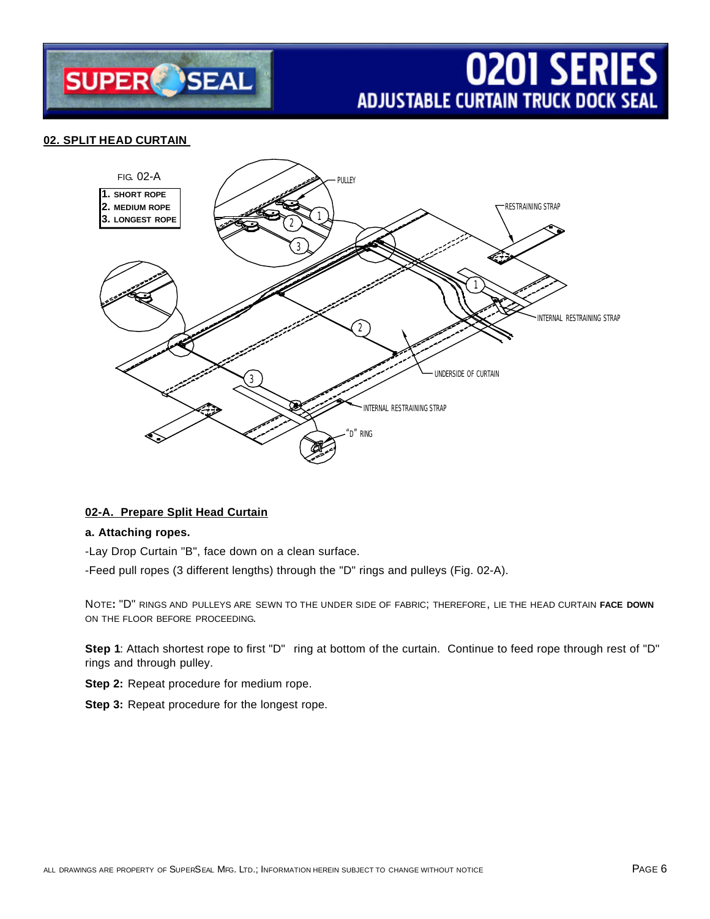

# **02. SPLIT HEAD CURTAIN**



## **02-A. Prepare Split Head Curtain**

# **a. Attaching ropes.**

-Lay Drop Curtain "B", face down on a clean surface.

-Feed pull ropes (3 different lengths) through the "D" rings and pulleys (Fig. 02-A).

NOTE**:** "D" RINGS AND PULLEYS ARE SEWN TO THE UNDER SIDE OF FABRIC; THEREFORE, LIE THE HEAD CURTAIN **FACE DOWN** ON THE FLOOR BEFORE PROCEEDING.

**Step 1**: Attach shortest rope to first "D" ring at bottom of the curtain. Continue to feed rope through rest of "D" rings and through pulley.

**Step 2:** Repeat procedure for medium rope.

**Step 3:** Repeat procedure for the longest rope.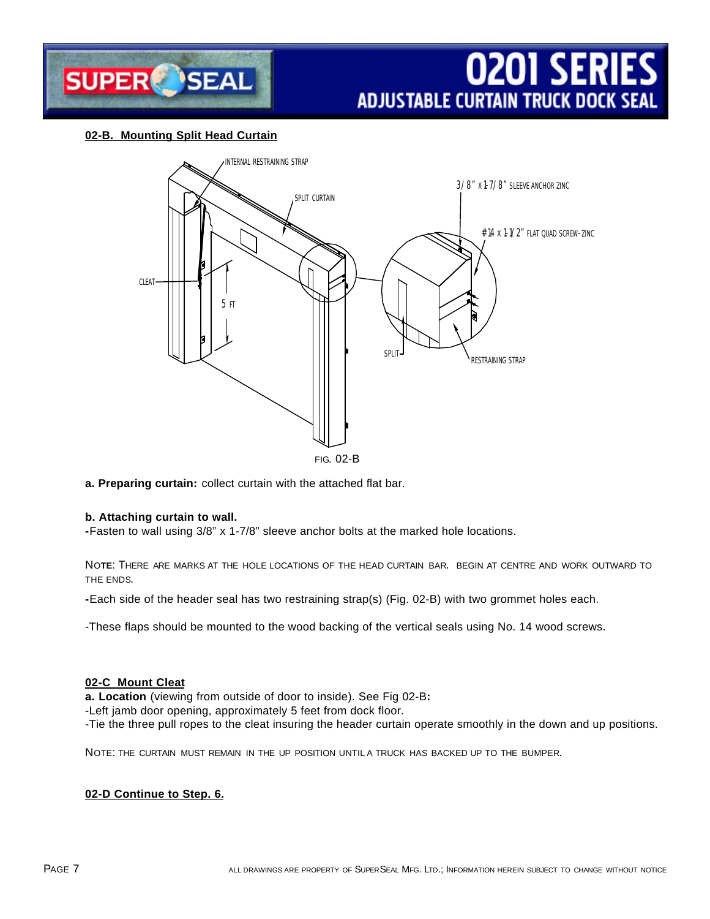

# **02-B. Mounting Split Head Curtain**



**a. Preparing curtain:** collect curtain with the attached flat bar.

## **b. Attaching curtain to wall.**

**-**Fasten to wall using 3/8" x 1-7/8" sleeve anchor bolts at the marked hole locations.

NO**TE**: THERE ARE MARKS AT THE HOLE LOCATIONS OF THE HEAD CURTAIN BAR. BEGIN AT CENTRE AND WORK OUTWARD TO THE ENDS.

**-**Each side of the header seal has two restraining strap(s) (Fig. 02-B) with two grommet holes each.

-These flaps should be mounted to the wood backing of the vertical seals using No. 14 wood screws.

## **02-C Mount Cleat**

**a. Location** (viewing from outside of door to inside). See Fig 02-B**:**

-Left jamb door opening, approximately 5 feet from dock floor.

-Tie the three pull ropes to the cleat insuring the header curtain operate smoothly in the down and up positions.

NOTE: THE CURTAIN MUST REMAIN IN THE UP POSITION UNTIL A TRUCK HAS BACKED UP TO THE BUMPER.

## **02-D Continue to Step. 6.**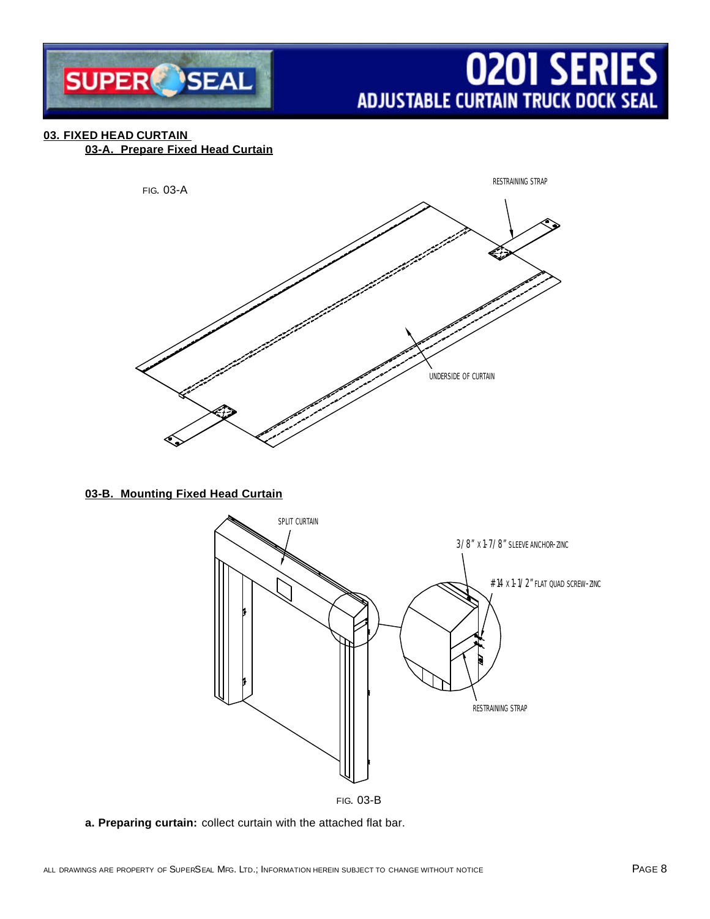

# **03. FIXED HEAD CURTAIN**

**03-A. Prepare Fixed Head Curtain**



# **03-B. Mounting Fixed Head Curtain**



**a. Preparing curtain:** collect curtain with the attached flat bar.